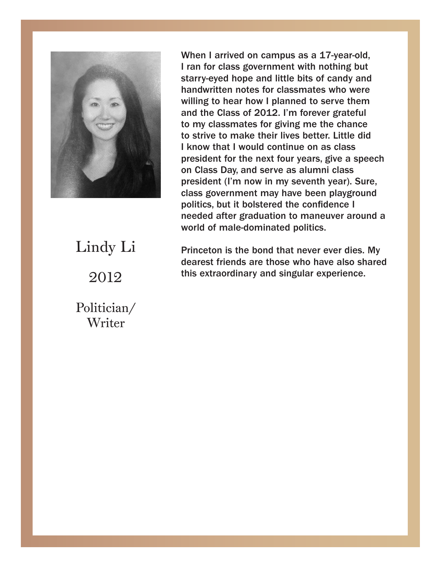

When I arrived on campus as a 17-year-old, I When I arrived on campus as a 17-year-old, ran for class government with nothing but I ran for class government with nothing but starry-eyed hope and little bits of candy and starry-eyed hope and little bits of candy and handwritten notes for classmates who were handwritten notes for classmates who were willing to hear how I planned to serve them and the Class of 2012. I'm forever grateful to my classmates for giving me the chance to strive to make their lives better. Little did I know that I would continue on as class president for the next four years, give a speech on Class Day, and serve as alumni class president (I'm now in my seventh year). Sure, class government may have been playground politics, but it bolstered the confidence I needed after graduation to maneuver around a world of male-dominated politics.

 $\sum_{i=1}^n$ 2012 2012 Lindy Li

1 Ontician, Writers and the second state of the second state of the second state of the second state of the second state o Politician/ Princeton is the bond that never ever dies. My Princeton is the bond that never ever dies. My dearest friends are those who have also shared dearest friends are those who have also shared this extraordinary and singular experience. this extraordinary and singular experience.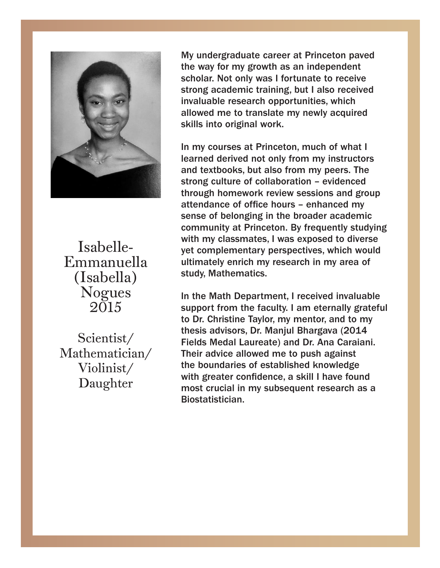

Emmanuella (Isabelia)<br>Nogues  $2015$ Isabelle-(Isabella)

 $\mathbf{C}$   $\mathbf{C}$   $\mathbf{C}$ 2015 Mathematician/ Daughter Scientist/ Violinist/

My undergraduate career at Princeton paved My undergraduate career at Princeton paved the way for my growth as an independent the way for my growth as an independent scholar. Not only was I fortunate to receive scholar. Not only was I fortunate to receive strong academic training, but I also received strong academic training, but I also received invaluable research opportunities, which invaluable research opportunities, which allowed me to translate my newly acquired allowed me to translate my newly acquired skills into original work. skills into original work.

In my courses at Princeton, much of what I In my courses at Princeton, much of what I learned derived not only from my instructors learned derived not only from my instructors and textbooks, but also from my peers. The and textbooks, but also from my peers. The strong culture of collaboration – evidenced strong culture of collaboration – evidenced through homework review sessions and group through homework review sessions and group attendance of office hours – enhanced my sense of belonging in the broader academic sense of belonging in the broader academic community at Princeton. By frequently studying community at Princeton. By frequently studying with my classmates, I was exposed to diverse with my classmates, I was exposed to diverse yet complementary perspectives, which would yet complementary perspectives, which would ultimately enrich my research in my area of study, Mathematics. study, Mathematics. attendance of office hours – enhanced my

support from the faculty. I am eternally grateful to Dr. Christine Taylor, my mentor, and to my thesis advisors, Dr. Manjul Bhargava (2014 Fields Medal Laureate) and Dr. Ana Caraiani. Their advice allowed me to push against the boundaries of established knowledge with greater confidence, a skill I have found most crucial in my subsequent research as a Biostatistician. In the Math Department, I received invaluable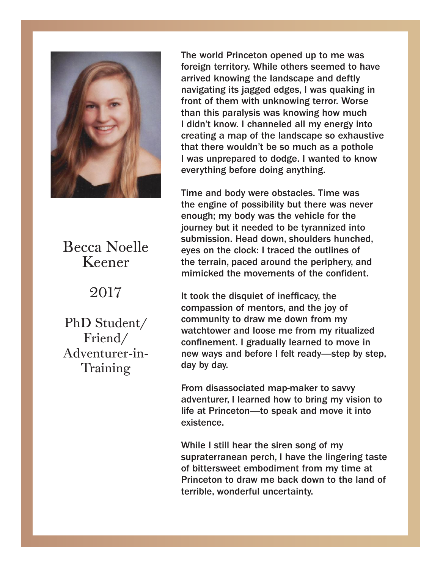

## Becca Noelle Becca Noelle Keener

 $201$ 2017

PhD Student/ Training Friend/ Adventurer-in-

The world Princeton opened up to me was The world Princeton opened up to me was foreign territory. While others seemed to have foreign territory. While others seemed to have arrived knowing the landscape and deftly arrived knowing the landscape and deftly navigating its jagged edges, I was quaking in front of them with unknowing terror. Worse than this paralysis was knowing how much I didn't know. I channeled all my energy into creating a map of the fandscape so exhaustive<br>that there wouldn't be so much as a pothole mas more meaning so exhibition as a permeter of the landscape of the landscape of the landscape of the landscape of the landscape of the landscape of the landscape of the landscape of the landscape of the landscape of the everything before doing anything. navigating its jagged edges, I was quaking in creating a map of the landscape so exhaustive

was unprepared to do deep to do get to the control was unpresented to know the control was uncertainty of the c rime and body were obstactes. Thrie was<br>the engine of possibility but there was never journey but it needed to be tyrannized into submission. Head down, shoulders hunched,<br>avec an the clock: Lireaed the eutlines of eyes on the clock. That can be outlines of the terrain, paced around the periphery, and mimicked the movements of the confident. Time and body were obstacles. Time was enough; my body was the vehicle for the eyes on the clock: I traced the outlines of

submission. Head down, shoulders hunched, It took the disquiet of inefficacy, the<br>compassion of mentors, and the joy of  $t_{\text{c}}$  community to draw me down from my watchtower and loose me from my ritualized. new ways and before I felt ready—step by step, compassion of mentors, and the joy of mentors, and the joy of mentors, and the joy of mentors, and the joy of It took the disquiet of inefficacy, the confinement. I gradually learned to move in day by day.

From disassociated map-maker to savvy adventurer, I learned how to bring my vision to **and the frame of the frame of the frame of the frame of the frame** life at Princeton—to speak and move it into<br>existence new ways and before I felt ready—step, by step, and by step, and existence.

While I still hear the siren song of my or bittersweet embournent from my time at<br>Princeton to draw me back down to the land of terrible, wonderful uncertainty. The state of the state of the state of the state of the state of the state of supraterranean perch, I have the lingering taste of bittersweet embodiment from my time at

life at Princeton—to speak and move it into

While I still hear the siren song of my siren song of my siren song of my siren song of my siren song